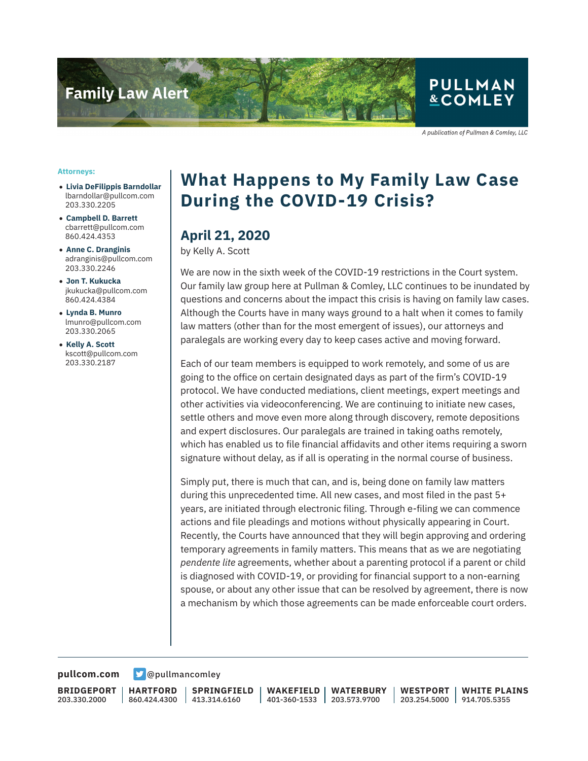

A publication of Pullman & Comley, LLC

#### **Attorneys:**

- **Livia DeFilippis Barndollar** lbarndollar@pullcom.com 203.330.2205
- **Campbell D. Barrett** cbarrett@pullcom.com 860.424.4353
- **Anne C. Dranginis** adranginis@pullcom.com 203.330.2246
- **Jon T. Kukucka** jkukucka@pullcom.com 860.424.4384
- **Lynda B. Munro** lmunro@pullcom.com 203.330.2065
- **Kelly A. Scott** kscott@pullcom.com 203.330.2187

# **What Happens to My Family Law Case During the COVID-19 Crisis?**

### **April 21, 2020**

by Kelly A. Scott

We are now in the sixth week of the COVID-19 restrictions in the Court system. Our family law group here at Pullman & Comley, LLC continues to be inundated by questions and concerns about the impact this crisis is having on family law cases. Although the Courts have in many ways ground to a halt when it comes to family law matters (other than for the most emergent of issues), our attorneys and paralegals are working every day to keep cases active and moving forward.

Each of our team members is equipped to work remotely, and some of us are going to the office on certain designated days as part of the firm's COVID-19 protocol. We have conducted mediations, client meetings, expert meetings and other activities via videoconferencing. We are continuing to initiate new cases, settle others and move even more along through discovery, remote depositions and expert disclosures. Our paralegals are trained in taking oaths remotely, which has enabled us to file financial affidavits and other items requiring a sworn signature without delay, as if all is operating in the normal course of business.

Simply put, there is much that can, and is, being done on family law matters during this unprecedented time. All new cases, and most filed in the past 5+ years, are initiated through electronic filing. Through e-filing we can commence actions and file pleadings and motions without physically appearing in Court. Recently, the Courts have announced that they will begin approving and ordering temporary agreements in family matters. This means that as we are negotiating *pendente lite* agreements, whether about a parenting protocol if a parent or child is diagnosed with COVID-19, or providing for financial support to a non-earning spouse, or about any other issue that can be resolved by agreement, there is now a mechanism by which those agreements can be made enforceable court orders.

#### **[pullcom.com](https://www.pullcom.com) g** [@pullmancomley](https://twitter.com/PullmanComley)

**BRIDGEPORT** 203.330.2000

**HARTFORD** 860.424.4300

**SPRINGFIELD** 413.314.6160

**WAKEFIELD** 401-360-1533 **WATERBURY** 203.573.9700

**WESTPORT** 203.254.5000 **WHITE PLAINS** 914.705.5355